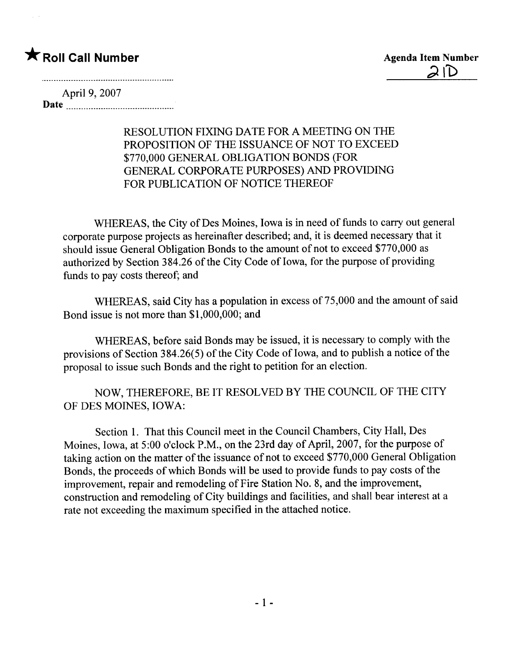# \* Roll Call Number Agenda Item Number

April 9, 2007 Date

### RESOLUTION FIXING DATE FOR A MEETING ON THE PROPOSITION OF THE ISSUANCE OF NOT TO EXCEED \$770,000 GENERAL OBLIGATION BONDS (FOR GENERAL CORPORATE PURPOSES) AND PROVIDING FOR PUBLICATION OF NOTICE THEREOF

WHEREAS, the City of Des Moines, Iowa is in need of funds to carry out general corporate purpose projects as hereinafter described; and, it is deemed necessary that it should issue General Obligation Bonds to the amount of not to exceed \$770,000 as authorized by Section 384.26 of the City Code of Iowa, for the purpose of providing funds to pay costs thereof; and

WHEREAS, said City has a population in excess of 75,000 and the amount of said Bond issue is not more than \$1,000,000; and

WHEREAS, before said Bonds may be issued, it is necessary to comply with the provisions of Section 384.26(5) of the City Code of Iowa, and to publish a notice of the proposal to issue such Bonds and the right to petition for an election.

NOW, THEREFORE, BE IT RESOLVED BY THE COUNCIL OF THE CITY OF DES MOINES, IOWA:

Section 1. That this Council meet in the Council Chambers, City Hall, Des Moines, Iowa, at 5:00 o'clock P.M., on the 23rd day of April, 2007, for the purpose of taking action on the matter of the issuance of not to exceed \$770,000 General Obligation Bonds, the proceeds of which Bonds wil be used to provide funds to pay costs of the improvement, repair and remodeling of Fire Station No.8, and the improvement, construction and remodeling of City buildings and facilities, and shall bear interest at a rate not exceeding the maximum specified in the attached notice.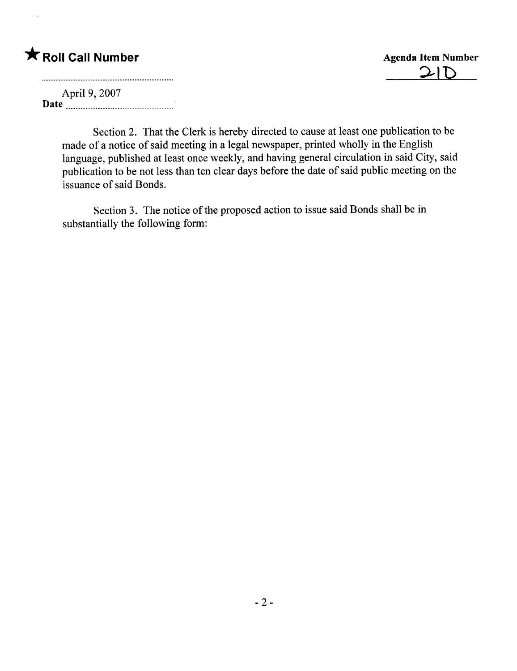# \* Roll Call Number Agenda Item Number

 $21D$ 

April 9, 2007 Date  $\frac{1}{2}$  Date  $\frac{1}{2}$ 

Section 2. That the Clerk is hereby directed to cause at least one publication to be made of a notice of said meeting in a legal newspaper, printed wholly in the English language, published at least once weekly, and having general circulation in said City, said publication to be not less than ten clear days before the date of said public meeting on the issuance of said Bonds.

Section 3. The notice of the proposed action to issue said Bonds shall be in substantially the following form: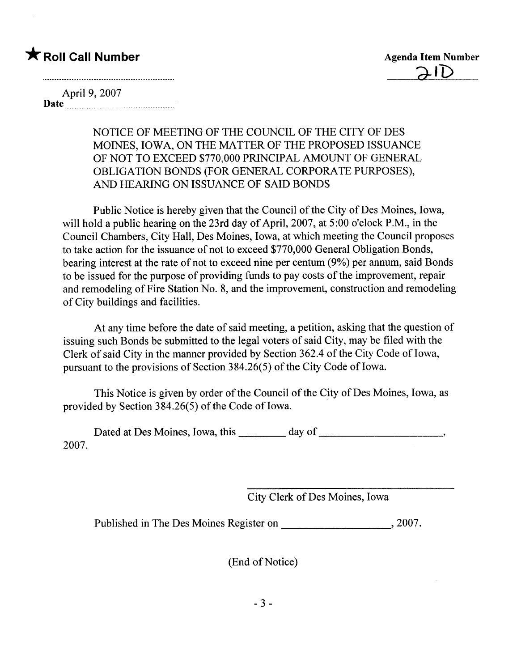## **\*** Roll Call Number Agenda Item Number

April 9, 2007 Date <u>music music music music music</u>

> NOTICE OF MEETING OF THE COUNCIL OF THE CITY OF DES MOINES, IOWA, ON THE MATTER OF THE PROPOSED ISSUANCE OF NOT TO EXCEED \$770,000 PRINCIPAL AMOUNT OF GENERAL OBLIGATION BONDS (FOR GENERAL CORPORATE PURPOSES), AND HEARING ON ISSUANCE OF SAID BONDS

Public Notice is hereby given that the Council of the City of Des Moines, Iowa, will hold a public hearing on the 23rd day of April, 2007, at 5:00 o'clock P.M., in the Council Chambers, City Hall, Des Moines, Iowa, at which meeting the Council proposes to take action for the issuance of not to exceed \$770,000 General Obligation Bonds, bearing interest at the rate of not to exceed nine per centum (9%) per annum, said Bonds to be issued for the purpose of providing funds to pay costs of the improvement, repair and remodeling of Fire Station No.8, and the improvement, construction and remodeling of City buildings and facilties.

At any time before the date of said meeting, a petition, asking that the question of issuing such Bonds be submitted to the legal voters of said City, may be fied with the Clerk of said City in the manner provided by Section 362.4 of the City Code of Iowa, pursuant to the provisions of Section 3 84.26( 5) of the City Code of Iowa.

This Notice is given by order of the Council of the City of Des Moines, Iowa, as provided by Section 384.26(5) of the Code of Iowa.

Dated at Des Moines, Iowa, this day of 2007.

City Clerk of Des Moines, Iowa

Published in The Des Moines Register on , 2007.

(End of Notice)